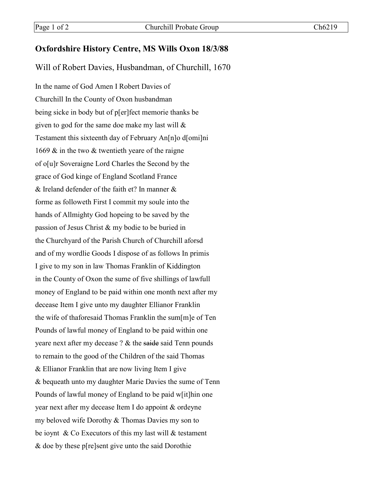## **Oxfordshire History Centre, MS Wills Oxon 18/3/88**

Will of Robert Davies, Husbandman, of Churchill, 1670

In the name of God Amen I Robert Davies of Churchill In the County of Oxon husbandman being sicke in body but of p[er]fect memorie thanks be given to god for the same doe make my last will & Testament this sixteenth day of February An[n]o d[omi]ni 1669 & in the two & twentieth yeare of the raigne of o[u]r Soveraigne Lord Charles the Second by the grace of God kinge of England Scotland France & Ireland defender of the faith et? In manner & forme as followeth First I commit my soule into the hands of Allmighty God hopeing to be saved by the passion of Jesus Christ & my bodie to be buried in the Churchyard of the Parish Church of Churchill aforsd and of my wordlie Goods I dispose of as follows In primis I give to my son in law Thomas Franklin of Kiddington in the County of Oxon the sume of five shillings of lawfull money of England to be paid within one month next after my decease Item I give unto my daughter Ellianor Franklin the wife of thaforesaid Thomas Franklin the sum[m]e of Ten Pounds of lawful money of England to be paid within one yeare next after my decease ?  $&$  the saide said Tenn pounds to remain to the good of the Children of the said Thomas & Ellianor Franklin that are now living Item I give & bequeath unto my daughter Marie Davies the sume of Tenn Pounds of lawful money of England to be paid w[it]hin one year next after my decease Item I do appoint & ordeyne my beloved wife Dorothy & Thomas Davies my son to be ioynt & Co Executors of this my last will & testament & doe by these p[re]sent give unto the said Dorothie